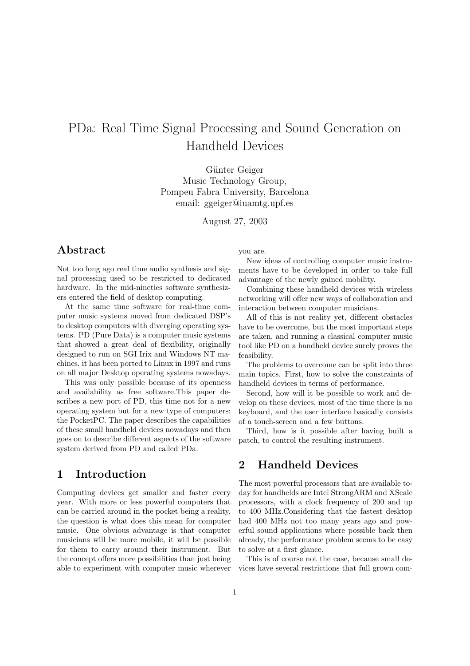# PDa: Real Time Signal Processing and Sound Generation on Handheld Devices

Günter Geiger Music Technology Group, Pompeu Fabra University, Barcelona email: ggeiger@iuamtg.upf.es

August 27, 2003

# Abstract

Not too long ago real time audio synthesis and signal processing used to be restricted to dedicated hardware. In the mid-nineties software synthesizers entered the field of desktop computing.

At the same time software for real-time computer music systems moved from dedicated DSP's to desktop computers with diverging operating systems. PD (Pure Data) is a computer music systems that showed a great deal of flexibility, originally designed to run on SGI Irix and Windows NT machines, it has been ported to Linux in 1997 and runs on all major Desktop operating systems nowadays.

This was only possible because of its openness and availability as free software.This paper describes a new port of PD, this time not for a new operating system but for a new type of computers: the PocketPC. The paper describes the capabilities of these small handheld devices nowadays and then goes on to describe different aspects of the software system derived from PD and called PDa.

## 1 Introduction

Computing devices get smaller and faster every year. With more or less powerful computers that can be carried around in the pocket being a reality, the question is what does this mean for computer music. One obvious advantage is that computer musicians will be more mobile, it will be possible for them to carry around their instrument. But the concept offers more possibilities than just being able to experiment with computer music wherever you are.

New ideas of controlling computer music instruments have to be developed in order to take full advantage of the newly gained mobility.

Combining these handheld devices with wireless networking will offer new ways of collaboration and interaction between computer musicians.

All of this is not reality yet, different obstacles have to be overcome, but the most important steps are taken, and running a classical computer music tool like PD on a handheld device surely proves the feasibility.

The problems to overcome can be split into three main topics. First, how to solve the constraints of handheld devices in terms of performance.

Second, how will it be possible to work and develop on these devices, most of the time there is no keyboard, and the user interface basically consists of a touch-screen and a few buttons.

Third, how is it possible after having built a patch, to control the resulting instrument.

# 2 Handheld Devices

The most powerful processors that are available today for handhelds are Intel StrongARM and XScale processors, with a clock frequency of 200 and up to 400 MHz.Considering that the fastest desktop had 400 MHz not too many years ago and powerful sound applications where possible back then already, the performance problem seems to be easy to solve at a first glance.

This is of course not the case, because small devices have several restrictions that full grown com-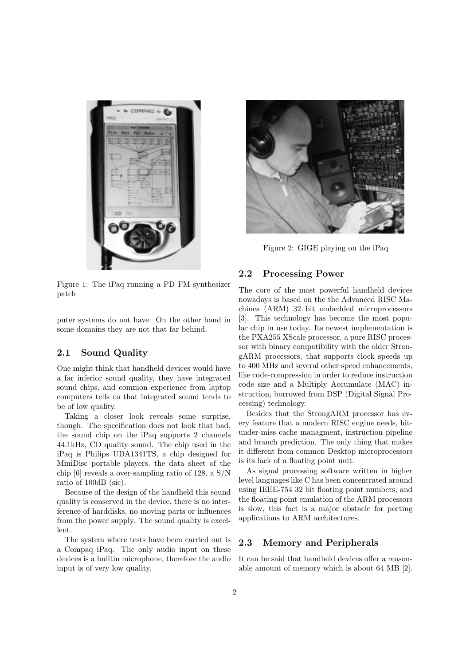

Figure 1: The iPaq running a PD FM synthesizer patch

puter systems do not have. On the other hand in some domains they are not that far behind.

#### 2.1 Sound Quality

One might think that handheld devices would have a far inferior sound quality, they have integrated sound chips, and common experience from laptop computers tells us that integrated sound tends to be of low quality.

Taking a closer look reveals some surprise, though. The specification does not look that bad, the sound chip on the iPaq supports 2 channels 44.1kHz, CD quality sound. The chip used in the iPaq is Philips UDA1341TS, a chip designed for MiniDisc portable players, the data sheet of the chip [6] reveals a over-sampling ratio of 128, a S/N ratio of 100dB (sic).

Because of the design of the handheld this sound quality is conserved in the device, there is no interference of harddisks, no moving parts or influences from the power supply. The sound quality is excellent.

The system where tests have been carried out is a Compaq iPaq. The only audio input on these devices is a builtin microphone, therefore the audio input is of very low quality.



Figure 2: GIGE playing on the iPaq

#### 2.2 Processing Power

The core of the most powerful handheld devices nowadays is based on the the Advanced RISC Machines (ARM) 32 bit embedded microprocessors [3]. This technology has become the most popular chip in use today. Its newest implementation is the PXA255 XScale processor, a pure RISC processor with binary compatibility with the older StrongARM processors, that supports clock speeds up to 400 MHz and several other speed enhancements, like code-compression in order to reduce instruction code size and a Multiply Accumulate (MAC) instruction, borrowed from DSP (Digital Signal Processing) technology.

Besides that the StrongARM processor has every feature that a modern RISC engine needs, hitunder-miss cache managment, instruction pipeline and branch prediction. The only thing that makes it different from common Desktop microprocessors is its lack of a floating point unit.

As signal processing software written in higher level languages like C has been concentrated around using IEEE-754 32 bit floating point numbers, and the floating point emulation of the ARM processors is slow, this fact is a major obstacle for porting applications to ARM architectures.

#### 2.3 Memory and Peripherals

It can be said that handheld devices offer a reasonable amount of memory which is about 64 MB [2].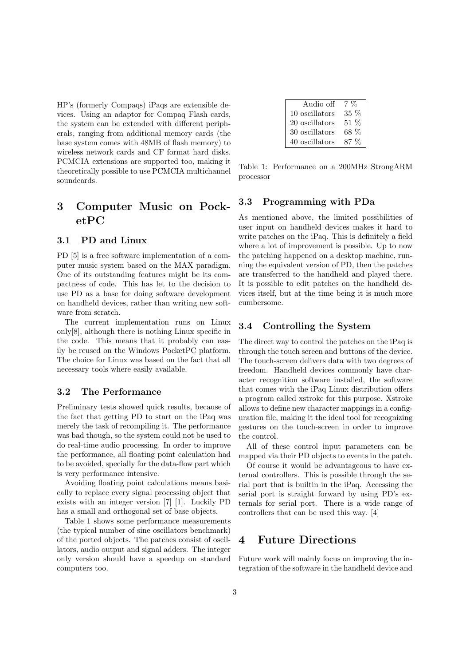HP's (formerly Compaqs) iPaqs are extensible devices. Using an adaptor for Compaq Flash cards, the system can be extended with different peripherals, ranging from additional memory cards (the base system comes with 48MB of flash memory) to wireless network cards and CF format hard disks. PCMCIA extensions are supported too, making it theoretically possible to use PCMCIA multichannel soundcards.

# 3 Computer Music on PocketPC

#### 3.1 PD and Linux

PD [5] is a free software implementation of a computer music system based on the MAX paradigm. One of its outstanding features might be its compactness of code. This has let to the decision to use PD as a base for doing software development on handheld devices, rather than writing new software from scratch.

The current implementation runs on Linux only[8], although there is nothing Linux specific in the code. This means that it probably can easily be reused on the Windows PocketPC platform. The choice for Linux was based on the fact that all necessary tools where easily available.

#### 3.2 The Performance

Preliminary tests showed quick results, because of the fact that getting PD to start on the iPaq was merely the task of recompiling it. The performance was bad though, so the system could not be used to do real-time audio processing. In order to improve the performance, all floating point calculation had to be avoided, specially for the data-flow part which is very performance intensive.

Avoiding floating point calculations means basically to replace every signal processing object that exists with an integer version [7] [1]. Luckily PD has a small and orthogonal set of base objects.

Table 1 shows some performance measurements (the typical number of sine oscillators benchmark) of the ported objects. The patches consist of oscillators, audio output and signal adders. The integer only version should have a speedup on standard computers too.

| Audio off      | $7 \frac{6}{6}$ |
|----------------|-----------------|
| 10 oscillators | 35 %            |
| 20 oscillators | $51\%$          |
| 30 oscillators | 68 %            |
| 40 oscillators | 87 %            |

Table 1: Performance on a 200MHz StrongARM processor

#### 3.3 Programming with PDa

As mentioned above, the limited possibilities of user input on handheld devices makes it hard to write patches on the iPaq. This is definitely a field where a lot of improvement is possible. Up to now the patching happened on a desktop machine, running the equivalent version of PD, then the patches are transferred to the handheld and played there. It is possible to edit patches on the handheld devices itself, but at the time being it is much more cumbersome.

#### 3.4 Controlling the System

The direct way to control the patches on the iPaq is through the touch screen and buttons of the device. The touch-screen delivers data with two degrees of freedom. Handheld devices commonly have character recognition software installed, the software that comes with the iPaq Linux distribution offers a program called xstroke for this purpose. Xstroke allows to define new character mappings in a configuration file, making it the ideal tool for recognizing gestures on the touch-screen in order to improve the control.

All of these control input parameters can be mapped via their PD objects to events in the patch.

Of course it would be advantageous to have external controllers. This is possible through the serial port that is builtin in the iPaq. Accessing the serial port is straight forward by using PD's externals for serial port. There is a wide range of controllers that can be used this way. [4]

## 4 Future Directions

Future work will mainly focus on improving the integration of the software in the handheld device and